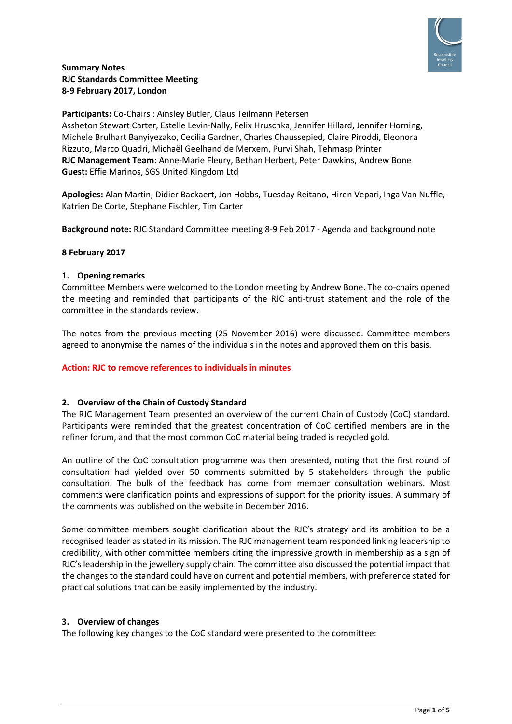

# **Summary Notes RJC Standards Committee Meeting 8-9 February 2017, London**

**Participants:** Co-Chairs : Ainsley Butler, Claus Teilmann Petersen Assheton Stewart Carter, Estelle Levin-Nally, Felix Hruschka, Jennifer Hillard, Jennifer Horning, Michele Brulhart Banyiyezako, Cecilia Gardner, Charles Chaussepied, Claire Piroddi, Eleonora Rizzuto, Marco Quadri, Michaël Geelhand de Merxem, Purvi Shah, Tehmasp Printer **RJC Management Team:** Anne-Marie Fleury, Bethan Herbert, Peter Dawkins, Andrew Bone **Guest:** Effie Marinos, SGS United Kingdom Ltd

**Apologies:** Alan Martin, Didier Backaert, Jon Hobbs, Tuesday Reitano, Hiren Vepari, Inga Van Nuffle, Katrien De Corte, Stephane Fischler, Tim Carter

**Background note:** RJC Standard Committee meeting 8-9 Feb 2017 - Agenda and background note

### **8 February 2017**

### **1. Opening remarks**

Committee Members were welcomed to the London meeting by Andrew Bone. The co-chairs opened the meeting and reminded that participants of the RJC anti-trust statement and the role of the committee in the standards review.

The notes from the previous meeting (25 November 2016) were discussed. Committee members agreed to anonymise the names of the individuals in the notes and approved them on this basis.

### **Action: RJC to remove references to individuals in minutes**

### **2. Overview of the Chain of Custody Standard**

The RJC Management Team presented an overview of the current Chain of Custody (CoC) standard. Participants were reminded that the greatest concentration of CoC certified members are in the refiner forum, and that the most common CoC material being traded is recycled gold.

An outline of the CoC consultation programme was then presented, noting that the first round of consultation had yielded over 50 comments submitted by 5 stakeholders through the public consultation. The bulk of the feedback has come from member consultation webinars. Most comments were clarification points and expressions of support for the priority issues. A summary of the comments was published on the website in December 2016.

Some committee members sought clarification about the RJC's strategy and its ambition to be a recognised leader as stated in its mission. The RJC management team responded linking leadership to credibility, with other committee members citing the impressive growth in membership as a sign of RJC's leadership in the jewellery supply chain. The committee also discussed the potential impact that the changes to the standard could have on current and potential members, with preference stated for practical solutions that can be easily implemented by the industry.

### **3. Overview of changes**

The following key changes to the CoC standard were presented to the committee: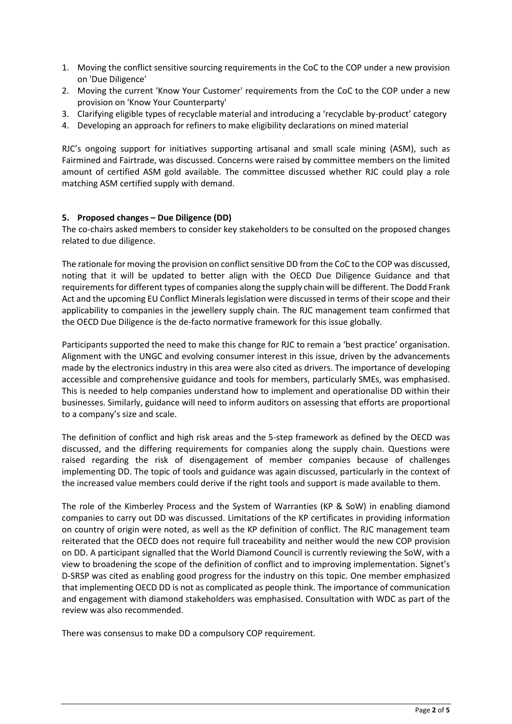- 1. Moving the conflict sensitive sourcing requirements in the CoC to the COP under a new provision on 'Due Diligence'
- 2. Moving the current 'Know Your Customer' requirements from the CoC to the COP under a new provision on 'Know Your Counterparty'
- 3. Clarifying eligible types of recyclable material and introducing a 'recyclable by-product' category
- 4. Developing an approach for refiners to make eligibility declarations on mined material

RJC's ongoing support for initiatives supporting artisanal and small scale mining (ASM), such as Fairmined and Fairtrade, was discussed. Concerns were raised by committee members on the limited amount of certified ASM gold available. The committee discussed whether RJC could play a role matching ASM certified supply with demand.

### **5. Proposed changes – Due Diligence (DD)**

The co-chairs asked members to consider key stakeholders to be consulted on the proposed changes related to due diligence.

The rationale for moving the provision on conflict sensitive DD from the CoC to the COP was discussed, noting that it will be updated to better align with the OECD Due Diligence Guidance and that requirementsfor different types of companies along the supply chain will be different. The Dodd Frank Act and the upcoming EU Conflict Minerals legislation were discussed in terms of their scope and their applicability to companies in the jewellery supply chain. The RJC management team confirmed that the OECD Due Diligence is the de-facto normative framework for this issue globally.

Participants supported the need to make this change for RJC to remain a 'best practice' organisation. Alignment with the UNGC and evolving consumer interest in this issue, driven by the advancements made by the electronics industry in this area were also cited as drivers. The importance of developing accessible and comprehensive guidance and tools for members, particularly SMEs, was emphasised. This is needed to help companies understand how to implement and operationalise DD within their businesses. Similarly, guidance will need to inform auditors on assessing that efforts are proportional to a company's size and scale.

The definition of conflict and high risk areas and the 5-step framework as defined by the OECD was discussed, and the differing requirements for companies along the supply chain. Questions were raised regarding the risk of disengagement of member companies because of challenges implementing DD. The topic of tools and guidance was again discussed, particularly in the context of the increased value members could derive if the right tools and support is made available to them.

The role of the Kimberley Process and the System of Warranties (KP & SoW) in enabling diamond companies to carry out DD was discussed. Limitations of the KP certificates in providing information on country of origin were noted, as well as the KP definition of conflict. The RJC management team reiterated that the OECD does not require full traceability and neither would the new COP provision on DD. A participant signalled that the World Diamond Council is currently reviewing the SoW, with a view to broadening the scope of the definition of conflict and to improving implementation. Signet's D-SRSP was cited as enabling good progress for the industry on this topic. One member emphasized that implementing OECD DD is not as complicated as people think. The importance of communication and engagement with diamond stakeholders was emphasised. Consultation with WDC as part of the review was also recommended.

There was consensus to make DD a compulsory COP requirement.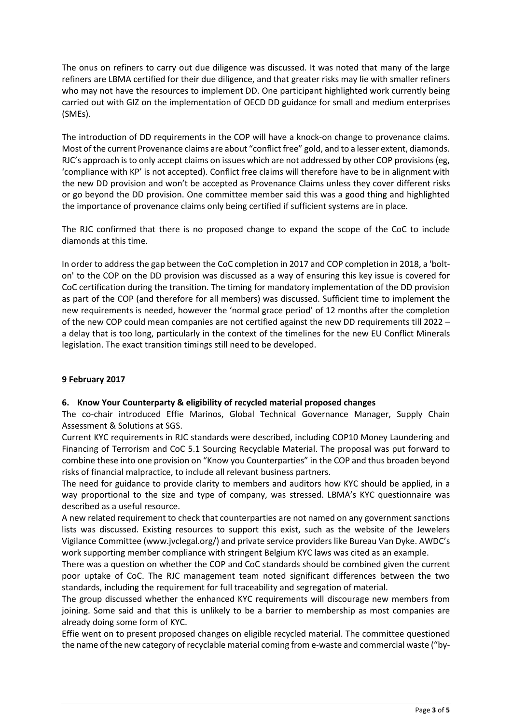The onus on refiners to carry out due diligence was discussed. It was noted that many of the large refiners are LBMA certified for their due diligence, and that greater risks may lie with smaller refiners who may not have the resources to implement DD. One participant highlighted work currently being carried out with GIZ on the implementation of OECD DD guidance for small and medium enterprises (SMEs).

The introduction of DD requirements in the COP will have a knock-on change to provenance claims. Most of the current Provenance claims are about "conflict free" gold, and to a lesser extent, diamonds. RJC's approach is to only accept claims on issues which are not addressed by other COP provisions (eg, 'compliance with KP' is not accepted). Conflict free claims will therefore have to be in alignment with the new DD provision and won't be accepted as Provenance Claims unless they cover different risks or go beyond the DD provision. One committee member said this was a good thing and highlighted the importance of provenance claims only being certified if sufficient systems are in place.

The RJC confirmed that there is no proposed change to expand the scope of the CoC to include diamonds at this time.

In order to address the gap between the CoC completion in 2017 and COP completion in 2018, a 'bolton' to the COP on the DD provision was discussed as a way of ensuring this key issue is covered for CoC certification during the transition. The timing for mandatory implementation of the DD provision as part of the COP (and therefore for all members) was discussed. Sufficient time to implement the new requirements is needed, however the 'normal grace period' of 12 months after the completion of the new COP could mean companies are not certified against the new DD requirements till 2022 – a delay that is too long, particularly in the context of the timelines for the new EU Conflict Minerals legislation. The exact transition timings still need to be developed.

# **9 February 2017**

### **6. Know Your Counterparty & eligibility of recycled material proposed changes**

The co-chair introduced Effie Marinos, Global Technical Governance Manager, Supply Chain Assessment & Solutions at SGS.

Current KYC requirements in RJC standards were described, including COP10 Money Laundering and Financing of Terrorism and CoC 5.1 Sourcing Recyclable Material. The proposal was put forward to combine these into one provision on "Know you Counterparties" in the COP and thus broaden beyond risks of financial malpractice, to include all relevant business partners.

The need for guidance to provide clarity to members and auditors how KYC should be applied, in a way proportional to the size and type of company, was stressed. LBMA's KYC questionnaire was described as a useful resource.

A new related requirement to check that counterparties are not named on any government sanctions lists was discussed. Existing resources to support this exist, such as the website of the Jewelers Vigilance Committee (www.jvclegal.org/) and private service providers like Bureau Van Dyke. AWDC's work supporting member compliance with stringent Belgium KYC laws was cited as an example.

There was a question on whether the COP and CoC standards should be combined given the current poor uptake of CoC. The RJC management team noted significant differences between the two standards, including the requirement for full traceability and segregation of material.

The group discussed whether the enhanced KYC requirements will discourage new members from joining. Some said and that this is unlikely to be a barrier to membership as most companies are already doing some form of KYC.

Effie went on to present proposed changes on eligible recycled material. The committee questioned the name of the new category of recyclable material coming from e-waste and commercial waste ("by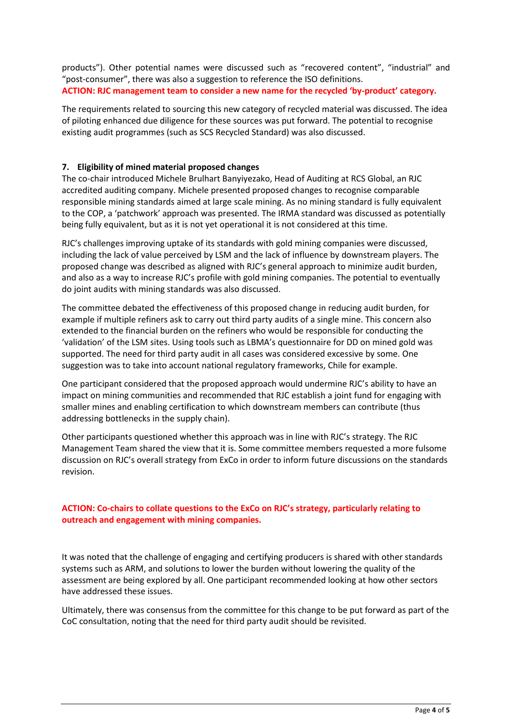products"). Other potential names were discussed such as "recovered content", "industrial" and "post-consumer", there was also a suggestion to reference the ISO definitions. **ACTION: RJC management team to consider a new name for the recycled 'by-product' category.** 

The requirements related to sourcing this new category of recycled material was discussed. The idea of piloting enhanced due diligence for these sources was put forward. The potential to recognise existing audit programmes (such as SCS Recycled Standard) was also discussed.

### **7. Eligibility of mined material proposed changes**

The co-chair introduced Michele Brulhart Banyiyezako, Head of Auditing at RCS Global, an RJC accredited auditing company. Michele presented proposed changes to recognise comparable responsible mining standards aimed at large scale mining. As no mining standard is fully equivalent to the COP, a 'patchwork' approach was presented. The IRMA standard was discussed as potentially being fully equivalent, but as it is not yet operational it is not considered at this time.

RJC's challenges improving uptake of its standards with gold mining companies were discussed, including the lack of value perceived by LSM and the lack of influence by downstream players. The proposed change was described as aligned with RJC's general approach to minimize audit burden, and also as a way to increase RJC's profile with gold mining companies. The potential to eventually do joint audits with mining standards was also discussed.

The committee debated the effectiveness of this proposed change in reducing audit burden, for example if multiple refiners ask to carry out third party audits of a single mine. This concern also extended to the financial burden on the refiners who would be responsible for conducting the 'validation' of the LSM sites. Using tools such as LBMA's questionnaire for DD on mined gold was supported. The need for third party audit in all cases was considered excessive by some. One suggestion was to take into account national regulatory frameworks, Chile for example.

One participant considered that the proposed approach would undermine RJC's ability to have an impact on mining communities and recommended that RJC establish a joint fund for engaging with smaller mines and enabling certification to which downstream members can contribute (thus addressing bottlenecks in the supply chain).

Other participants questioned whether this approach was in line with RJC's strategy. The RJC Management Team shared the view that it is. Some committee members requested a more fulsome discussion on RJC's overall strategy from ExCo in order to inform future discussions on the standards revision.

# **ACTION: Co-chairs to collate questions to the ExCo on RJC's strategy, particularly relating to outreach and engagement with mining companies.**

It was noted that the challenge of engaging and certifying producers is shared with other standards systems such as ARM, and solutions to lower the burden without lowering the quality of the assessment are being explored by all. One participant recommended looking at how other sectors have addressed these issues.

Ultimately, there was consensus from the committee for this change to be put forward as part of the CoC consultation, noting that the need for third party audit should be revisited.